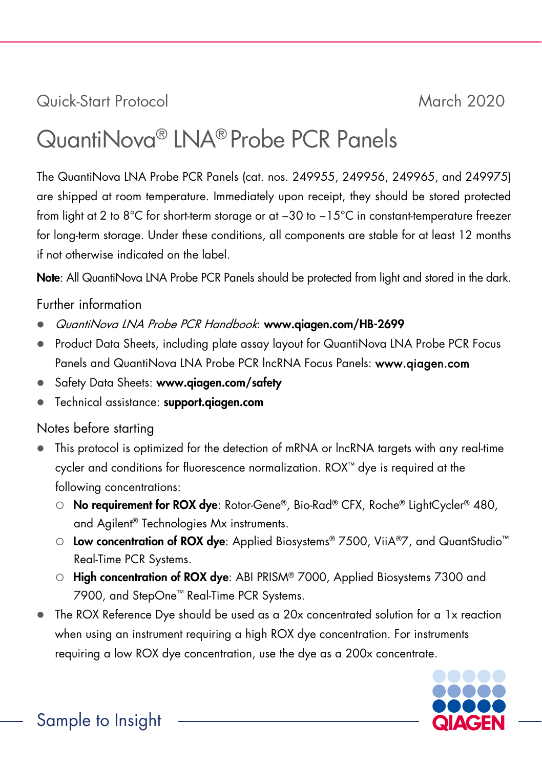Quick-Start Protocol March 2020

# QuantiNova® LNA® Probe PCR Panels

The QuantiNova LNA Probe PCR Panels (cat. nos. 249955, 249956, 249965, and 249975) are shipped at room temperature. Immediately upon receipt, they should be stored protected from light at 2 to 8°C for short-term storage or at −30 to −15°C in constant-temperature freezer for long-term storage. Under these conditions, all components are stable for at least 12 months if not otherwise indicated on the label.

Note: All QuantiNova LNA Probe PCR Panels should be protected from light and stored in the dark.

# Further information

- QuantiNova LNA Probe PCR Handbook: [www.qiagen.com/HB-2](http://www.qiagen.com/HB-2)699
- Product Data Sheets, including plate assay layout for QuantiNova LNA Probe PCR Focus Panels and QuantiNova LNA Probe PCR lncRNA Focus Panels: www.qiagen.com
- Safety Data Sheets: www.qiagen.com/safety
- Technical assistance: <support.qiagen.com>

# Notes before starting

- This protocol is optimized for the detection of mRNA or lncRNA targets with any real-time cycler and conditions for fluorescence normalization. ROX™ dye is required at the following concentrations:
	- O No requirement for ROX dye: Rotor-Gene®, Bio-Rad® CFX, Roche® LightCycler® 480, and Agilent® Technologies Mx instruments.
	- O Low concentration of ROX dye: Applied Biosystems® 7500, ViiA®7, and QuantStudio<sup>™</sup> Real-Time PCR Systems.
	- O High concentration of ROX dye: ABI PRISM® 7000, Applied Biosystems 7300 and 7900, and StepOne™ Real-Time PCR Systems.
- The ROX Reference Dye should be used as a 20x concentrated solution for a 1x reaction when using an instrument requiring a high ROX dye concentration. For instruments requiring a low ROX dye concentration, use the dye as a 200x concentrate.



Sample to Insight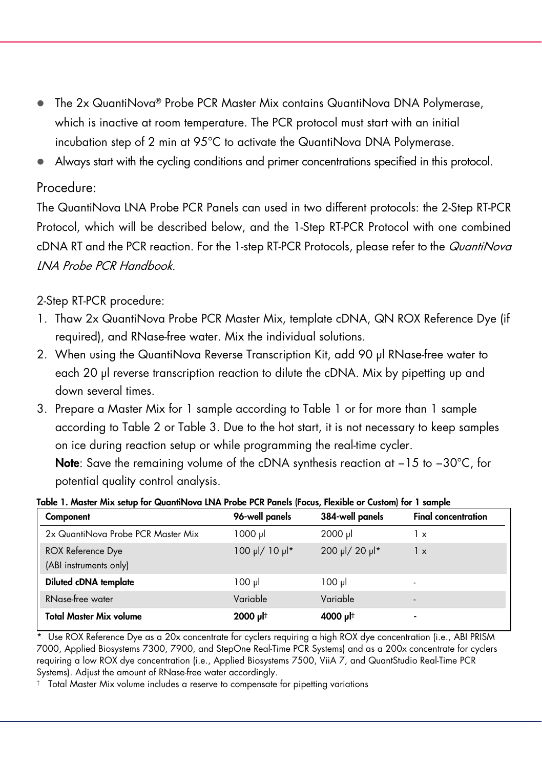- The 2x QuantiNova® Probe PCR Master Mix contains QuantiNova DNA Polymerase, which is inactive at room temperature. The PCR protocol must start with an initial incubation step of 2 min at 95°C to activate the QuantiNova DNA Polymerase.
- Always start with the cycling conditions and primer concentrations specified in this protocol.

### Procedure:

The QuantiNova LNA Probe PCR Panels can used in two different protocols: the 2-Step RT-PCR Protocol, which will be described below, and the 1-Step RT-PCR Protocol with one combined cDNA RT and the PCR reaction. For the 1-step RT-PCR Protocols, please refer to the QuantiNova LNA Probe PCR Handbook.

# 2-Step RT-PCR procedure:

- 1. Thaw 2x QuantiNova Probe PCR Master Mix, template cDNA, QN ROX Reference Dye (if required), and RNase-free water. Mix the individual solutions.
- 2. When using the QuantiNova Reverse Transcription Kit, add 90 μl RNase-free water to each 20 μl reverse transcription reaction to dilute the cDNA. Mix by pipetting up and down several times.
- 3. Prepare a Master Mix for 1 sample according to Table 1 or for more than 1 sample according to Table 2 or Table 3. Due to the hot start, it is not necessary to keep samples on ice during reaction setup or while programming the real-time cycler.

Note: Save the remaining volume of the cDNA synthesis reaction at -15 to -30°C, for potential quality control analysis.

| Table 1. Master Mix setup for QuantiNova LNA Probe PCR Panels (Focus, Flexible or Custom) for 1 sample |  |
|--------------------------------------------------------------------------------------------------------|--|
|                                                                                                        |  |

| Component                          | 96-well panels | 384-well panels | <b>Final concentration</b> |
|------------------------------------|----------------|-----------------|----------------------------|
| 2x QuantiNova Probe PCR Master Mix | 1000 ul        | $2000$ µ        | 1 x                        |
| <b>ROX Reference Dye</b>           | 100 µl/ 10 µl* | 200 µl/ 20 µl*  | 1 x                        |
| (ABI instruments only)             |                |                 |                            |
| Diluted cDNA template              | $100 \mu$      | $100 \mu$       |                            |
| RNase-free water                   | Variable       | Variable        | -                          |
| <b>Total Master Mix volume</b>     | 2000 µlt       | 4000 µlt        |                            |

\* Use ROX Reference Dye as a 20x concentrate for cyclers requiring a high ROX dye concentration (i.e., ABI PRISM 7000, Applied Biosystems 7300, 7900, and StepOne Real-Time PCR Systems) and as a 200x concentrate for cyclers requiring a low ROX dye concentration (i.e., Applied Biosystems 7500, ViiA 7, and QuantStudio Real-Time PCR Systems). Adjust the amount of RNase-free water accordingly.

† Total Master Mix volume includes a reserve to compensate for pipetting variations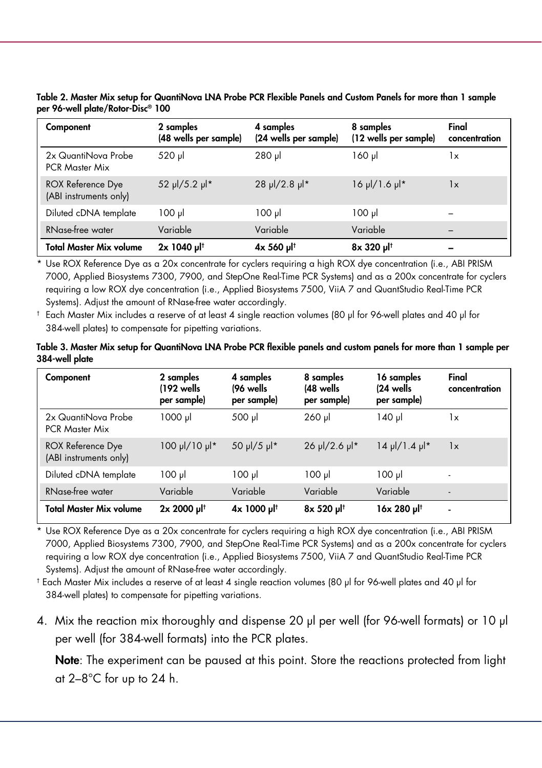| Component                                          | 2 samples<br>(48 wells per sample) | 4 samples<br>(24 wells per sample) | 8 samples<br>(12 wells per sample) | Final<br>concentration |
|----------------------------------------------------|------------------------------------|------------------------------------|------------------------------------|------------------------|
| 2x QuantiNova Probe<br><b>PCR Master Mix</b>       | 520 µl                             | $280$ pl                           | $160$ pl                           | 1x                     |
| <b>ROX Reference Dye</b><br>(ABI instruments only) | 52 µl/5.2 µl*                      | 28 µl/2.8 µl*                      | $16 \mu$ /1.6 $\mu$ <sup>*</sup>   | 1x                     |
| Diluted cDNA template                              | $100 \mu$                          | 100 µl                             | $100 \mu$                          |                        |
| RNase-free water                                   | Variable                           | Variable                           | Variable                           |                        |
| Total Master Mix volume                            | $2x$ 1040 µ <sup> †</sup>          | $4x 560$ µ <sup> †</sup>           | 8x 320 µl <sup>t</sup>             |                        |

Table 2. Master Mix setup for QuantiNova LNA Probe PCR Flexible Panels and Custom Panels for more than 1 sample per 96-well plate/Rotor-Disc® 100

\* Use ROX Reference Dye as a 20x concentrate for cyclers requiring a high ROX dye concentration (i.e., ABI PRISM 7000, Applied Biosystems 7300, 7900, and StepOne Real-Time PCR Systems) and as a 200x concentrate for cyclers requiring a low ROX dye concentration (i.e., Applied Biosystems 7500, ViiA 7 and QuantStudio Real-Time PCR Systems). Adjust the amount of RNase-free water accordingly.

† Each Master Mix includes a reserve of at least 4 single reaction volumes (80 µl for 96-well plates and 40 µl for 384-well plates) to compensate for pipetting variations.

|                | Table 3. Master Mix setup for QuantiNova LNA Probe PCR flexible panels and custom panels for more than 1 sample per |  |
|----------------|---------------------------------------------------------------------------------------------------------------------|--|
| 384-well plate |                                                                                                                     |  |

| Component                                          | 2 samples<br>$(192 \text{ wells})$<br>per sample) | 4 samples<br>(96 wells<br>per sample) | 8 samples<br>(48 wells<br>per sample) | 16 samples<br>$(24 \text{ wells})$<br>per sample) | Final<br>concentration |
|----------------------------------------------------|---------------------------------------------------|---------------------------------------|---------------------------------------|---------------------------------------------------|------------------------|
| 2x QuantiNova Probe<br><b>PCR Master Mix</b>       | $1000 \mu$                                        | 500 µl                                | $260$ $\mu$                           | 140 µl                                            | 1x                     |
| <b>ROX Reference Dye</b><br>(ABI instruments only) | *lu 01/lu 001                                     | $50 \mu / 5 \mu$                      | $26 \mu$ /2.6 $\mu$ <sup>*</sup>      | $14 \mu$ /1.4 $\mu$ <sup>*</sup>                  | 1x                     |
| Diluted cDNA template                              | $100 \mu$                                         | $100 \mu$                             | $100 \mu$                             | $100 \mu$                                         |                        |
| RNase-free water                                   | Variable                                          | Variable                              | Variable                              | Variable                                          |                        |
| Total Master Mix volume                            | 2x 2000 ult                                       | 1µ 1000 Jl <sup>†</sup>               | 8x 520 µlt                            | 16x 280 µlt                                       | $\blacksquare$         |

\* Use ROX Reference Dye as a 20x concentrate for cyclers requiring a high ROX dye concentration (i.e., ABI PRISM 7000, Applied Biosystems 7300, 7900, and StepOne Real-Time PCR Systems) and as a 200x concentrate for cyclers requiring a low ROX dye concentration (i.e., Applied Biosystems 7500, ViiA 7 and QuantStudio Real-Time PCR Systems). Adjust the amount of RNase-free water accordingly.

† Each Master Mix includes a reserve of at least 4 single reaction volumes (80 µl for 96-well plates and 40 µl for 384-well plates) to compensate for pipetting variations.

4. Mix the reaction mix thoroughly and dispense 20 μl per well (for 96-well formats) or 10 μl per well (for 384-well formats) into the PCR plates.

Note: The experiment can be paused at this point. Store the reactions protected from light at 2–8°C for up to 24 h.